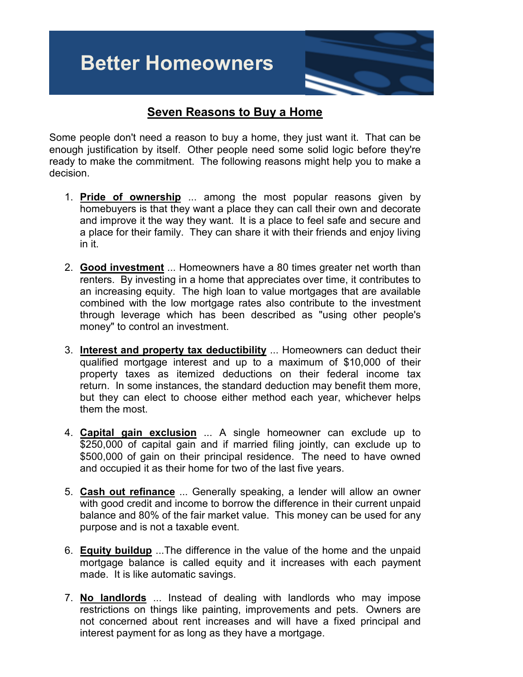## **Better Homeowners**

## **Seven Reasons to Buy a Home**

Some people don't need a reason to buy a home, they just want it. That can be enough justification by itself. Other people need some solid logic before they're ready to make the commitment. The following reasons might help you to make a decision.

- 1. **Pride of ownership** ... among the most popular reasons given by homebuyers is that they want a place they can call their own and decorate and improve it the way they want. It is a place to feel safe and secure and a place for their family. They can share it with their friends and enjoy living in it.
- 2. **Good investment** ... Homeowners have a 80 times greater net worth than renters. By investing in a home that appreciates over time, it contributes to an increasing equity. The high loan to value mortgages that are available combined with the low mortgage rates also contribute to the investment through leverage which has been described as "using other people's money" to control an investment.
- 3. **Interest and property tax deductibility** ... Homeowners can deduct their qualified mortgage interest and up to a maximum of \$10,000 of their property taxes as itemized deductions on their federal income tax return. In some instances, the standard deduction may benefit them more, but they can elect to choose either method each year, whichever helps them the most.
- 4. **Capital gain exclusion** ... A single homeowner can exclude up to \$250,000 of capital gain and if married filing jointly, can exclude up to \$500,000 of gain on their principal residence. The need to have owned and occupied it as their home for two of the last five years.
- 5. **Cash out refinance** ... Generally speaking, a lender will allow an owner with good credit and income to borrow the difference in their current unpaid balance and 80% of the fair market value. This money can be used for any purpose and is not a taxable event.
- 6. **Equity buildup** ...The difference in the value of the home and the unpaid mortgage balance is called equity and it increases with each payment made. It is like automatic savings.
- 7. **No landlords** ... Instead of dealing with landlords who may impose restrictions on things like painting, improvements and pets. Owners are not concerned about rent increases and will have a fixed principal and interest payment for as long as they have a mortgage.